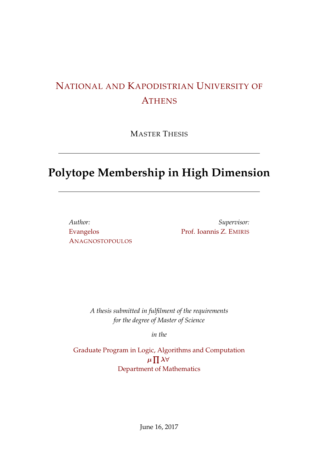### NATIONAL AND KAPODISTRIAN UNIVERSITY OF **ATHENS**

MASTER [T](http://www.uoa.com)HESIS

## **Polytope Membership in High Dimension**

*Author:* Evangelos ANAGNOSTOPOULOS

*Supervisor:* Prof. Ioannis Z. EMIRIS

*A thesis submitted in fulfilment of the requirements for the degree of Master of Science*

*in the*

Graduate Program in Logic, Algorithms and Computation *µ* ∏ *λ∀* Department of Mathematics

June 16, 2017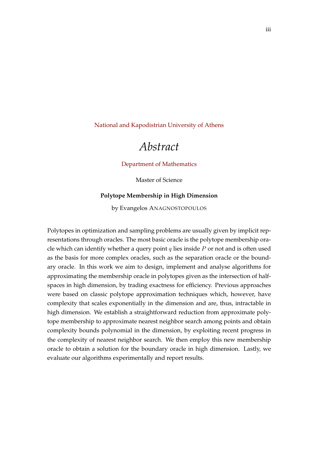<span id="page-2-0"></span>National and Kapodistrian University of Athens

### *[Abstract](http://www.uoa.com)*

#### Department of Mathematics

Master of Science

#### **Polyto[pe Membership in High Dim](http://math.uoa.gr/)ension**

by Evangelos ANAGNOSTOPOULOS

Polytopes in optimization and sampling problems are usually given by implicit representations through oracles. The most basic oracle is the polytope membership oracle which can identify whether a query point *q* lies inside *P* or not and is often used as the basis for more complex oracles, such as the separation oracle or the boundary oracle. In this work we aim to design, implement and analyse algorithms for approximating the membership oracle in polytopes given as the intersection of halfspaces in high dimension, by trading exactness for efficiency. Previous approaches were based on classic polytope approximation techniques which, however, have complexity that scales exponentially in the dimension and are, thus, intractable in high dimension. We establish a straightforward reduction from approximate polytope membership to approximate nearest neighbor search among points and obtain complexity bounds polynomial in the dimension, by exploiting recent progress in the complexity of nearest neighbor search. We then employ this new membership oracle to obtain a solution for the boundary oracle in high dimension. Lastly, we evaluate our algorithms experimentally and report results.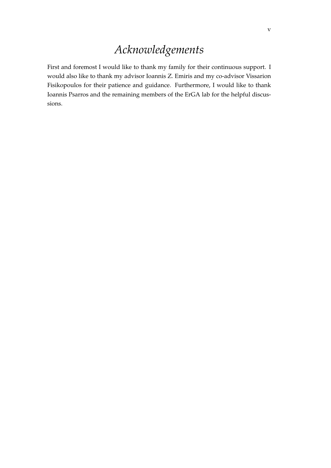## *Acknowledgements*

<span id="page-4-0"></span>First and foremost I would like to thank my family for their continuous support. I would also like to thank my advisor Ioannis Z. Emiris and my co-advisor Vissarion Fisikopoulos for their patience and guidance. Furthermore, I would like to thank Ioannis Psarros and the remaining members of the ErGA lab for the helpful discussions.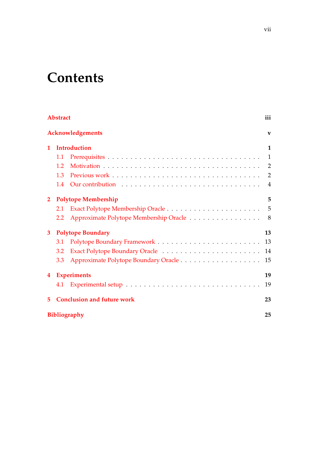# **Contents**

| <b>Abstract</b>                        |                            |                                          |                         |  |  |  |
|----------------------------------------|----------------------------|------------------------------------------|-------------------------|--|--|--|
|                                        |                            | <b>Acknowledgements</b>                  | $\overline{\mathbf{v}}$ |  |  |  |
| $\mathbf{1}$                           | <b>Introduction</b>        |                                          |                         |  |  |  |
|                                        | 1.1                        |                                          | $\overline{1}$          |  |  |  |
|                                        | 1.2                        |                                          |                         |  |  |  |
|                                        | 1.3                        |                                          | $\overline{2}$          |  |  |  |
|                                        | 1.4                        |                                          | $\overline{4}$          |  |  |  |
| $\overline{2}$                         | <b>Polytope Membership</b> |                                          |                         |  |  |  |
|                                        | 2.1                        |                                          |                         |  |  |  |
|                                        | 2.2                        | Approximate Polytope Membership Oracle 8 |                         |  |  |  |
| $\mathbf{3}$                           | <b>Polytope Boundary</b>   |                                          |                         |  |  |  |
|                                        | 3.1                        |                                          |                         |  |  |  |
|                                        | 3.2                        |                                          |                         |  |  |  |
|                                        | 3.3                        | Approximate Polytope Boundary Oracle 15  |                         |  |  |  |
| $\overline{4}$                         | <b>Experiments</b>         |                                          |                         |  |  |  |
|                                        | 4.1                        |                                          | 19                      |  |  |  |
| <b>Conclusion and future work</b><br>5 |                            |                                          |                         |  |  |  |
| Bibliography                           |                            |                                          |                         |  |  |  |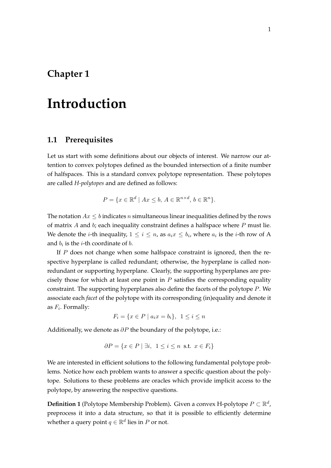# <span id="page-8-0"></span>**Introduction**

#### <span id="page-8-1"></span>**1.1 Prerequisites**

Let us start with some definitions about our objects of interest. We narrow our attention to convex polytopes defined as the bounded intersection of a finite number of halfspaces. This is a standard convex polytope representation. These polytopes are called *H-polytopes* and are defined as follows:

$$
P = \{ x \in \mathbb{R}^d \mid Ax \le b, A \in \mathbb{R}^{n \times d}, b \in \mathbb{R}^n \}.
$$

The notation *Ax ≤ b* indicates *n* simultaneous linear inequalities defined by the rows of matrix *A* and *b*; each inequality constraint defines a halfspace where *P* must lie. We denote the *i*-th inequality,  $1 \leq i \leq n$ , as  $a_i x \leq b_i$ , where  $a_i$  is the *i*-th row of A and  $b_i$  is the *i*-th coordinate of *b*.

If *P* does not change when some halfspace constraint is ignored, then the respective hyperplane is called redundant; otherwise, the hyperplane is called nonredundant or supporting hyperplane. Clearly, the supporting hyperplanes are precisely those for which at least one point in *P* satisfies the corresponding equality constraint. The supporting hyperplanes also define the facets of the polytope *P*. We associate each *facet* of the polytope with its corresponding (in)equality and denote it as *F<sup>i</sup>* . Formally:

$$
F_i = \{ x \in P \mid a_i x = b_i \}, \ \ 1 \le i \le n
$$

Additionally, we denote as *∂P* the boundary of the polytope, i.e.:

$$
\partial P = \{ x \in P \mid \exists i, 1 \le i \le n \text{ s.t. } x \in F_i \}
$$

We are interested in efficient solutions to the following fundamental polytope problems. Notice how each problem wants to answer a specific question about the polytope. Solutions to these problems are oracles which provide implicit access to the polytope, by answering the respective questions.

**Definition 1** (Polytope Membership Problem). Given a convex H-polytope  $P \subset \mathbb{R}^d$ , preprocess it into a data structure, so that it is possible to efficiently determine whether a query point  $q \in \mathbb{R}^d$  lies in  $P$  or not.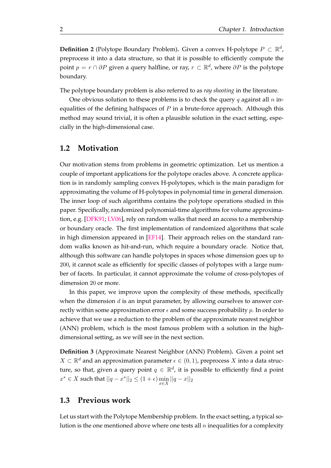**Definition 2** (Polytope Boundary Problem). Given a convex H-polytope  $P \subset \mathbb{R}^d$ , preprocess it into a data structure, so that it is possible to efficiently compute the point *p* = *r ∩ ∂P* given a query halfline, or ray, *r ⊂* R *d* , where *∂P* is the polytope boundary.

The polytope boundary problem is also referred to as *ray shooting* in the literature.

One obvious solution to these problems is to check the query *q* against all *n* inequalities of the defining halfspaces of *P* in a brute-force approach. Although this method may sound trivial, it is often a plausible solution in the exact setting, especially in the high-dimensional case.

### **1.2 Motivation**

Our motivation stems from problems in geometric optimization. Let us mention a couple of important applications for the polytope oracles above. A concrete application is in randomly sampling convex H-polytopes, which is the main paradigm for approximating the volume of H-polytopes in polynomial time in general dimension. The inner loop of such algorithms contains the polytope operations studied in this paper. Specifically, randomized polynomial-time algorithms for volume approximation, e.g. [DFK91; LV06], rely on random walks that need an access to a membership or boundary oracle. The first implementation of randomized algorithms that scale in high dimension appeared in [EF14]. Their approach relies on the standard random wal[ks know](#page-33-0)[n as](#page-33-1) hit-and-run, which require a boundary oracle. Notice that, although this software can handle polytopes in spaces whose dimension goes up to 200, it cannot scale as efficiently [for sp](#page-33-2)ecific classes of polytopes with a large number of facets. In particular, it cannot approximate the volume of cross-polytopes of dimension 20 or more.

In this paper, we improve upon the complexity of these methods, specifically when the dimension *d* is an input parameter, by allowing ourselves to answer correctly within some approximation error  $\epsilon$  and some success probability  $p$ . In order to achieve that we use a reduction to the problem of the approximate nearest neighbor (ANN) problem, which is the most famous problem with a solution in the highdimensional setting, as we will see in the next section.

**Definition 3** (Approximate Nearest Neighbor (ANN) Problem)**.** Given a point set *X* ⊂  $\mathbb{R}^d$  and an approximation parameter  $\epsilon \in (0,1)$ , preprocess *X* into a data structure, so that, given a query point  $q \, \in \, \mathbb{R}^d$ , it is possible to efficiently find a point *x*<sup>\*</sup> ∈ *X* such that  $||q - x^*||_2 \leq (1 + \epsilon) \min_{x \in X} ||q - x||_2$ 

#### **1.3 Previous work**

<span id="page-9-0"></span>Let us start with the Polytope Membership problem. In the exact setting, a typical solution is the one mentioned above where one tests all *n* inequalities for a complexity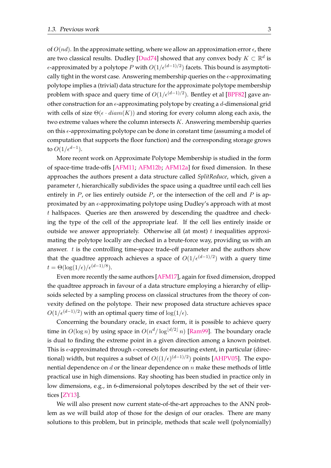of  $O(nd)$ . In the approximate setting, where we allow an approximation error  $\epsilon$ , there are two classical results. Dudley [Dud74] showed that any convex body  $K \subset \mathbb{R}^d$  is *ϵ*-approximated by a polytope *P* with *O*(1*/ϵ*(*d−*1)*/*<sup>2</sup> ) facets. This bound is asymptotically tight in the worst case. Answering membership queries on the *ϵ*-approximating polytope implies a (trivial) data st[ructure](#page-33-3) for the approximate polytope membership problem with space and query time of *O*(1*/ϵ*(*d−*1)*/*<sup>2</sup> ). Bentley et al [BPF82] gave another construction for an *ϵ*-approximating polytope by creating a *d*-dimensional grid with cells of size Θ(*ϵ · diam*(*K*)) and storing for every column along each axis, the two extreme values where the column intersects *K*. Answering me[mbersh](#page-32-0)ip queries on this *ϵ*-approximating polytope can be done in constant time (assuming a model of computation that supports the floor function) and the corresponding storage grows to  $O(1/\epsilon^{d-1})$ .

More recent work on Approximate Polytope Membership is studied in the form of space-time trade-offs [AFM11; AFM12b; AFM12a] for fixed dimension. In these approaches the authors present a data structure called *SplitReduce*, which, given a parameter *t*, hierarchically subdivides the space using a quadtree until each cell lies entirely in *P*, or lies enti[rely out](#page-32-1)side *P*[, or](#page-32-2) [the inters](#page-32-3)ection of the cell and *P* is approximated by an *ϵ*-approximating polytope using Dudley's approach with at most *t* halfspaces. Queries are then answered by descending the quadtree and checking the type of the cell of the appropriate leaf. If the cell lies entirely inside or outside we answer appropriately. Otherwise all (at most) *t* inequalities approximating the polytope locally are checked in a brute-force way, providing us with an answer. *t* is the controlling time-space trade-off parameter and the authors show that the quadtree approach achieves a space of *O*(1*/ϵ*(*d−*1)*/*<sup>2</sup> ) with a query time  $t = \Theta(\log(1/\epsilon)/\epsilon^{(d-1)/8}).$ 

Even more recently the same authors [AFM17], again for fixed dimension, dropped the quadtree approach in favour of a data structure employing a hierarchy of ellipsoids selected by a sampling process on classical structures from the theory of convexity defined on the polytope. Their n[ew prop](#page-32-4)osed data structure achieves space *O*(1*/ϵ*(*d−*1)*/*<sup>2</sup> ) with an optimal query time of log(1*/ϵ*).

Concerning the boundary oracle, in exact form, it is possible to achieve query time in  $O(\log n)$  by using space in  $O(n^d/\log^{\lfloor d/2 \rfloor} n)$  [Ram99]. The boundary oracle is dual to finding the extreme point in a given direction among a known pointset. This is *ϵ*-approximated through *ϵ*-coresets for measuring extent, in particular (directional) width, but requires a subset of *O*((1*/ϵ*) (*d−*1)*/*2 ) [points](#page-33-4) [AHPV05]. The exponential dependence on *d* or the linear dependence on *n* make these methods of little practical use in high dimensions. Ray shooting has been studied in practice only in low dimensions, e.g., in 6-dimensional polytopes described b[y the set](#page-32-5) of their vertices [ZY13].

We will also present now current state-of-the-art approaches to the ANN problem as we will build atop of those for the design of our oracles. There are many soluti[ons to](#page-33-5) this problem, but in principle, methods that scale well (polynomially)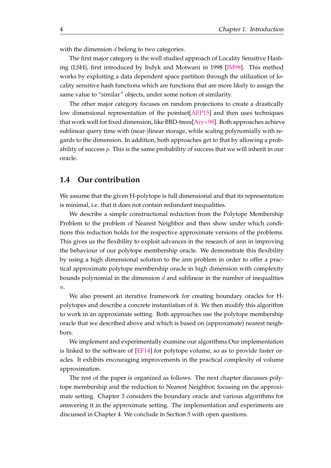with the dimension *d* belong to two categories.

The first major category is the well studied approach of Locality Sensitive Hashing (LSH), first introduced by Indyk and Motwani in 1998 [IM98]. This method works by exploiting a data dependent space partition through the utilization of locality sensitive hash functions which are functions that are more likely to assign the same value to "similar" objects, under some notion of similari[ty.](#page-33-6)

The other major category focuses on random projections to create a drastically low dimensional representation of the pointset[AEP15] and then uses techniques that work well for fixed dimension, like BBD-trees[Ary+98]. Both approaches achieve sublinear query time with (near-)linear storage, while scaling polynomially with regards to the dimension. In addition, both approa[ches get](#page-32-6) to that by allowing a probability of success *p*. This is the same probability of [success](#page-32-7) that we will inherit in our oracle.

#### **1.4 Our contribution**

<span id="page-11-0"></span>We assume that the given H-polytope is full dimensional and that its representation is minimal, i.e. that it does not contain redundant inequalities.

We describe a simple constructional reduction from the Polytope Membership Problem to the problem of Nearest Neighbor and then show under which conditions this reduction holds for the respective approximate versions of the problems. This gives us the flexibility to exploit advances in the research of ann in improving the behaviour of our polytope membership oracle. We demonstrate this flexibility by using a high dimensional solution to the ann problem in order to offer a practical approximate polytope membership oracle in high dimension with complexity bounds polynomial in the dimension *d* and sublinear in the number of inequalities *n*.

We also present an iterative framework for creating boundary oracles for Hpolytopes and describe a concrete instantiation of it. We then modify this algorithm to work in an approximate setting. Both approaches use the polytope membership oracle that we described above and which is based on (approximate) nearest neighbors.

We implement and experimentally examine our algorithms.Our implementation is linked to the software of [EF14] for polytope volume, so as to provide faster oracles. It exhibits encouraging improvements in the practical complexity of volume approximation.

The rest of the paper is [organi](#page-33-2)zed as follows. The next chapter discusses polytope membership and the reduction to Nearest Neighbor, focusing on the approximate setting. Chapter 3 considers the boundary oracle and various algorithms for answering it in the approximate setting. The implementation and experiments are discussed in Chapter 4. We conclude in Section 5 with open questions.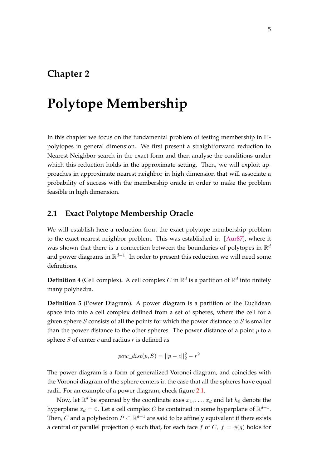## <span id="page-12-0"></span>**Polytope Membership**

In this chapter we focus on the fundamental problem of testing membership in Hpolytopes in general dimension. We first present a straightforward reduction to Nearest Neighbor search in the exact form and then analyse the conditions under which this reduction holds in the approximate setting. Then, we will exploit approaches in approximate nearest neighbor in high dimension that will associate a probability of success with the membership oracle in order to make the problem feasible in high dimension.

### **2.1 Exact Polytope Membership Oracle**

<span id="page-12-1"></span>We will establish here a reduction from the exact polytope membership problem to the exact nearest neighbor problem. This was established in [Aur87], where it was shown that there is a connection between the boundaries of polytopes in  $\mathbb{R}^d$ and power diagrams in R *d−*1 . In order to present this reduction we will need some definitions.

**Definition 4** (Cell complex). A cell complex  $C$  in  $\mathbb{R}^d$  is a partition of  $\mathbb{R}^d$  into finitely many polyhedra.

**Definition 5** (Power Diagram)**.** A power diagram is a partition of the Euclidean space into into a cell complex defined from a set of spheres, where the cell for a given sphere *S* consists of all the points for which the power distance to *S* is smaller than the power distance to the other spheres. The power distance of a point *p* to a sphere *S* of center *c* and radius *r* is defined as

$$
pow\_dist(p, S) = ||p - c||_2^2 - r^2
$$

The power diagram is a form of generalized Voronoi diagram, and coincides with the Voronoi diagram of the sphere centers in the case that all the spheres have equal radii. For an example of a power diagram, check figure 2.1.

Now, let  $\mathbb{R}^d$  be spanned by the coordinate axes  $x_1, \ldots, x_d$  and let  $h_0$  denote the hyperplane  $x_d = 0$ . Let a cell complex  $C$  be contained in some hyperplane of  $\mathbb{R}^{d+1}$ . Then*,*  $C$  and a polyhedron  $P \subset \mathbb{R}^{d+1}$  are said to be affin[ely](#page-13-0) equivalent if there exists a central or parallel projection  $\phi$  such that, for each face  $f$  of  $C, f = \phi(g)$  holds for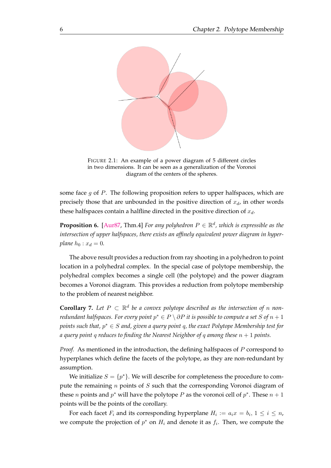<span id="page-13-0"></span>

FIGURE 2.1: An example of a power diagram of 5 different circles in two dimensions. It can be seen as a generalization of the Voronoi diagram of the centers of the spheres.

some face *g* of *P*. The following proposition refers to upper halfspaces, which are precisely those that are unbounded in the positive direction of  $x_d$ , in other words these halfspaces contain a halfline directed in the positive direction of *xd*.

**Proposition 6.** [Aur87, Thm.4] *For any polyhedron*  $P \in \mathbb{R}^d$ , which is expressible as the *intersection of upper halfspaces, there exists an affinely equivalent power diagram in hyperplane*  $h_0: x_d = 0$ *.* 

The above re[sult pro](#page-32-8)vides a reduction from ray shooting in a polyhedron to point location in a polyhedral complex. In the special case of polytope membership, the polyhedral complex becomes a single cell (the polytope) and the power diagram becomes a Voronoi diagram. This provides a reduction from polytope membership to the problem of nearest neighbor.

**Corollary 7.** Let  $P \subset \mathbb{R}^d$  be a convex polytope described as the intersection of *n* non*redundant halfspaces. For every point*  $p^* \in P \setminus \partial P$  *it is possible to compute a set*  $S$  *of*  $n+1$ *points such that, p <sup>∗</sup> ∈ S and, given a query point q, the exact Polytope Membership test for a query point q reduces to finding the Nearest Neighbor of q among these n* + 1 *points.*

<span id="page-13-1"></span>*Proof.* As mentioned in the introduction, the defining halfspaces of *P* correspond to hyperplanes which define the facets of the polytope, as they are non-redundant by assumption.

We initialize  $S = \{p^*\}$ . We will describe for completeness the procedure to compute the remaining *n* points of *S* such that the corresponding Voronoi diagram of these *n* points and  $p^*$  will have the polytope *P* as the voronoi cell of  $p^*$ . These  $n + 1$ points will be the points of the corollary.

For each facet  $F_i$  and its corresponding hyperplane  $H_i := a_i x = b_i, 1 \leq i \leq n$ , we compute the projection of  $p^*$  on  $H_i$  and denote it as  $f_i$ . Then, we compute the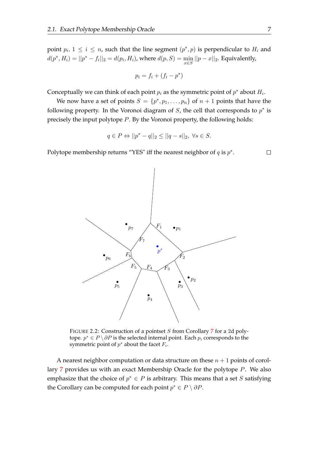point  $p_i$ ,  $1 \leq i \leq n$ , such that the line segment  $(p^*, p)$  is perpendicular to  $H_i$  and  $d(p^*, H_i) = ||p^* - f_i||_2 = d(p_i, H_i)$ , where  $d(p, S) = \min_{x \in S} ||p - x||_2$ . Equivalently,

$$
p_i = f_i + (f_i - p^*)
$$

Conceptually we can think of each point  $p_i$  as the symmetric point of  $p^*$  about  $H_i$ .

We now have a set of points  $S = \{p^*, p_1, \ldots, p_n\}$  of  $n + 1$  points that have the following property. In the Voronoi diagram of *S*, the cell that corresponds to *p ∗* is precisely the input polytope *P*. By the Voronoi property, the following holds:

$$
q \in P \Leftrightarrow ||p^* - q||_2 \le ||q - s||_2, \ \forall s \in S.
$$

Polytope membership returns "YES" iff the nearest neighbor of *q* is *p ∗* .



FIGURE 2.2: Construction of a pointset *S* from Corollary 7 for a 2d polytope. *p <sup>∗</sup> ∈ P \ ∂P* is the selected internal point. Each *p<sup>i</sup>* corresponds to the symmetric point of *p <sup>∗</sup>* about the facet *F<sup>i</sup>* .

A n[e](#page-13-1)arest neighbor computation or data structure on these  $n + 1$  points of corollary 7 provides us with an exact Membership Oracle for the polytope *P*. We also emphasize that the choice of  $p^* \in P$  is arbitrary. This means that a set *S* satisfying the Corollary can be computed for each point  $p^* \in P \setminus \partial P$ .

 $\Box$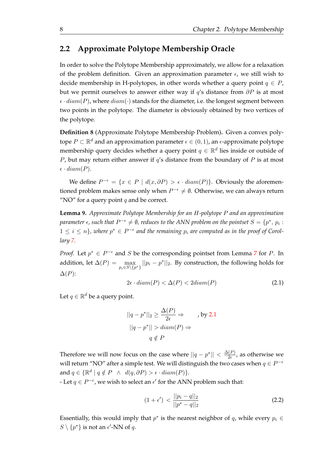### **2.2 Approximate Polytope Membership Oracle**

<span id="page-15-0"></span>In order to solve the Polytope Membership approximately, we allow for a relaxation of the problem definition. Given an approximation parameter  $\epsilon$ , we still wish to decide membership in H-polytopes, in other words whether a query point  $q \in P$ , but we permit ourselves to answer either way if *q*'s distance from *∂P* is at most  $\epsilon \cdot diam(P)$ , where  $diam(\cdot)$  stands for the diameter, i.e. the longest segment between two points in the polytope. The diameter is obviously obtained by two vertices of the polytope.

**Definition 8** (Approximate Polytope Membership Problem)**.** Given a convex polytope *P ⊂* R *<sup>d</sup>* and an approximation parameter *ϵ ∈* (0*,* 1), an *ϵ*-approximate polytope membership query decides whether a query point  $q \in \mathbb{R}^d$  lies inside or outside of *P*, but may return either answer if *q*'s distance from the boundary of *P* is at most  $\epsilon \cdot diam(P)$ .

We define  $P^{-\epsilon} = \{x \in P \mid d(x, \partial P) > \epsilon \cdot diam(P)\}$ . Obviously the aforementioned problem makes sense only when *P <sup>−</sup><sup>ϵ</sup> ̸*= *∅*. Otherwise, we can always return "NO" for a query point  $q$  and be correct.

**Lemma 9.** *Approximate Polytope Membership for an H-polytope P and an approximation*  $\phi$  *parameter*  $\epsilon$ *, such that*  $P^{-\epsilon} \neq \emptyset$ *, reduces to the ANN problem on the pointset*  $S = \{p^*,\, p_i: j \in I\}$  $1 \leq i \leq n$ , where  $p^* \in P^{-\epsilon}$  and the remaining  $p_i$  are computed as in the proof of Corol*lary 7.*

*Proof.* Let  $p^* \in P^{-\epsilon}$  and *S* be the corresponding pointset from Lemma 7 for *P*. In add[it](#page-13-1)ion, let  $\Delta(P) = \max_{p_i \in S \setminus \{p^*\}} ||p_i - p^*||_2$ . By construction, the following holds for ∆(*P*):

$$
2\epsilon \cdot diam(P) < \Delta(P) < 2diam(P) \tag{2.1}
$$

Let  $q \in \mathbb{R}^d$  be a query point.

$$
||q - p^*||_2 \ge \frac{\Delta(P)}{2\epsilon} \Rightarrow \qquad \text{, by 2.1}
$$

$$
||q - p^*|| > diam(P) \Rightarrow
$$

$$
q \notin P
$$

Therefore we will now focus on the case where  $||q - p^*|| < \frac{\Delta(P)}{2\epsilon}$  $\frac{1}{2\epsilon}$ , as otherwise we will return "NO" after a simple test. We will distinguish the two cases when  $q \in P^{-\epsilon}$  $\text{and } q \in \{\mathbb{R}^d \mid q \notin P \ \land \ d(q, \partial P) > \epsilon \cdot diam(P)\}.$ 

*F* Let *q* ∈ *P*<sup> $−$  $$\epsilon$ , we wish to select an  $\epsilon'$  for the ANN problem such that:</sup>$ 

$$
(1+\epsilon') < \frac{||p_i - q||_2}{||p^* - q||_2}
$$
 (2.2)

Essentially, this would imply that  $p^*$  is the nearest neighbor of  $q$ , while every  $p_i \in$  $S \setminus \{p^*\}$  is not an  $\epsilon'$ -NN of  $q$ .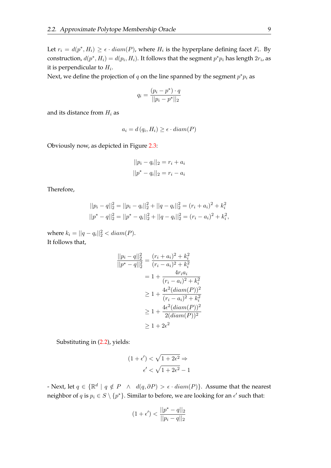Let  $r_i = d(p^*, H_i) \geq \epsilon \cdot diam(P)$ , where  $H_i$  is the hyperplane defining facet  $F_i$ . By construction,  $d(p^*, H_i) = d(p_i, H_i)$ . It follows that the segment  $p^*p_i$  has length  $2r_i$ , as it is perpendicular to *H<sup>i</sup>* .

Next, we define the projection of  $q$  on the line spanned by the segment  $p^*p_i$  as

$$
q_i = \frac{(p_i - p^*) \cdot q}{||p_i - p^*||_2}
$$

and its distance from *H<sup>i</sup>* as

$$
a_i = d(q_i, H_i) \ge \epsilon \cdot diam(P)
$$

Obviously now, as depicted in Figure 2.3:

$$
||p_i - q_i||_2 = r_i + a_i
$$
  

$$
||p^* - q_i||_2 = r_i - a_i
$$

Therefore,

$$
||p_i - q||_2^2 = ||p_i - q_i||_2^2 + ||q - q_i||_2^2 = (r_i + a_i)^2 + k_i^2
$$
  

$$
||p^* - q||_2^2 = ||p^* - q_i||_2^2 + ||q - q_i||_2^2 = (r_i - a_i)^2 + k_i^2,
$$

where  $k_i = ||q - q_i||_2^2 < diam(P)$ . It follows that,

$$
\frac{||p_i - q||_2^2}{||p^* - q||_2^2} = \frac{(r_i + a_i)^2 + k_i^2}{(r_i - a_i)^2 + k_i^2}
$$
  
=  $1 + \frac{4r_ia_i}{(r_i - a_i)^2 + k_i^2}$   
 $\geq 1 + \frac{4\epsilon^2(\text{diam}(P))^2}{(r_i - a_i)^2 + k_i^2}$   
 $\geq 1 + \frac{4\epsilon^2(\text{diam}(P))^2}{2(\text{diam}(P))^2}$   
 $\geq 1 + 2\epsilon^2$ 

Substituting in (2.2), yields:

$$
(1 + \epsilon') < \sqrt{1 + 2\epsilon^2} \Rightarrow
$$
  

$$
\epsilon' < \sqrt{1 + 2\epsilon^2} - 1
$$

*a* • Next, let  $q \in \{ \mathbb{R}^d \mid q \notin P \land d(q, \partial P) > \epsilon \cdot diam(P) \}$ . Assume that the nearest neighbor of  $q$  is  $p_i \in S \setminus \{p^*\}$ . Similar to before, we are looking for an  $\epsilon'$  such that:

$$
(1+\epsilon') < \frac{||p^* - q||_2}{||p_i - q||_2}
$$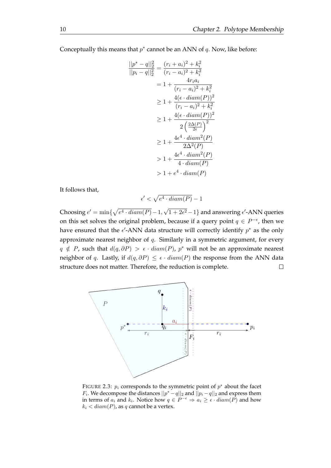Conceptually this means that *p ∗* cannot be an ANN of *q*. Now, like before:

$$
\frac{||p^* - q||_2^2}{||p_i - q||_2^2} = \frac{(r_i + a_i)^2 + k_i^2}{(r_i - a_i)^2 + k_i^2}
$$
  
=  $1 + \frac{4r_ia_i}{(r_i - a_i)^2 + k_i^2}$   
 $\geq 1 + \frac{4(\epsilon \cdot diam(P))^2}{(r_i - a_i)^2 + k_i^2}$   
 $\geq 1 + \frac{4(\epsilon \cdot diam(P))^2}{2\left(\frac{2\Delta(P)}{2\epsilon}\right)^2}$   
 $\geq 1 + \frac{4\epsilon^4 \cdot diam^2(P)}{2\Delta^2(P)}$   
 $\geq 1 + \frac{4\epsilon^4 \cdot diam^2(P)}{4 \cdot diam(P)}$   
 $\geq 1 + e^4 \cdot diam(P)$ 

It follows that,

$$
\epsilon' < \sqrt{e^4 \cdot diam(P)} - 1
$$

*√* Choosing  $e' = \min\{\sqrt{e^4 \cdot diam(P)} - 1,$  $\sqrt{1 + 2\epsilon^2} - 1$ } and answering  $\epsilon'$ -ANN queries on this set solves the original problem, because if a query point  $q \in P^{-\epsilon}$ , then we have ensured that the  $\epsilon'$ -ANN data structure will correctly identify  $p^*$  as the only approximate nearest neighbor of *q*. Similarly in a symmetric argument, for every *q*  $\notin$  *P*, such that *d*(*q*,  $\partial P$ ) >  $\epsilon \cdot diam(P)$ ,  $p^*$  will not be an approximate nearest neighbor of *q*. Lastly, if  $d(q, \partial P) \leq \epsilon \cdot diam(P)$  the response from the ANN data structure does not matter. Therefore, the reduction is complete.  $\Box$ 

<span id="page-17-0"></span>

FIGURE 2.3: *p<sup>i</sup>* corresponds to the symmetric point of *p <sup>∗</sup>* about the facet *F*<sub>i</sub>. We decompose the distances  $||p^* - q||_2$  and  $||p_i - q||_2$  and express them in terms of  $a_i$  and  $k_i$ . Notice how  $q \in P^{-\epsilon} \Rightarrow a_i \geq \epsilon \cdot diam(P)$  and how  $k_i$   $\lt$  *diam*(*P*), as *q* cannot be a vertex.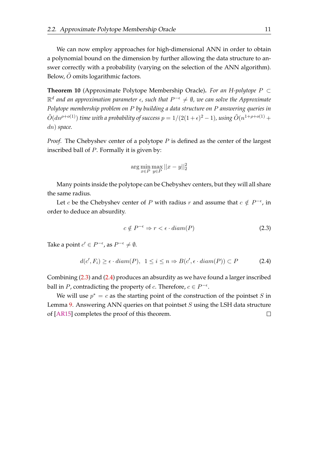We can now employ approaches for high-dimensional ANN in order to obtain a polynomial bound on the dimension by further allowing the data structure to answer correctly with a probability (varying on the selection of the ANN algorithm). Below,  $\ddot{O}$  omits logarithmic factors.

**Theorem 10** (Approximate Polytope Membership Oracle)**.** *For an H-polytope P ⊂* R *d and an approximation parameter ϵ, such that P <sup>−</sup><sup>ϵ</sup> ̸*= *∅, we can solve the Approximate Polytope membership problem on P by building a data structure on P answering queries in*  $\tilde{O}(dn^{\rho+o(1)})$  *time with a probability of success*  $p = 1/(2(1+\epsilon)^2 - 1)$ *, using*  $\tilde{O}(n^{1+\rho+o(1)} + 1)$ *dn*) *space.*

*Proof.* The Chebyshev center of a polytope *P* is defined as the center of the largest inscribed ball of *P*. Formally it is given by:

$$
\arg\min_{x \in P} \max_{y \in P} ||x - y||_2^2
$$

Many points inside the polytope can be Chebyshev centers, but they will all share the same radius.

Let *c* be the Chebyshev center of *P* with radius *r* and assume that  $c \notin P^{-\epsilon}$ , in order to deduce an absurdity.

<span id="page-18-0"></span>
$$
c \notin P^{-\epsilon} \Rightarrow r < \epsilon \cdot diam(P) \tag{2.3}
$$

Take a point  $c' \in P^{-\epsilon}$ , as  $P^{-\epsilon} \neq \emptyset$ .

<span id="page-18-1"></span>
$$
d(c', F_i) \ge \epsilon \cdot diam(P), \ \ 1 \le i \le n \Rightarrow B(c', \epsilon \cdot diam(P)) \subset P \tag{2.4}
$$

Combining (2.3) and (2.4) produces an absurdity as we have found a larger inscribed ball in *P*, contradicting the property of *c*. Therefore,  $c \in P^{-\epsilon}$ .

We will use  $p^* = c$  as the starting point of the construction of the pointset *S* in Lemma 9. A[nsw](#page-18-0)erin[g AN](#page-18-1)N queries on that pointset *S* using the LSH data structure of [AR15] completes the proof of this theorem. $\Box$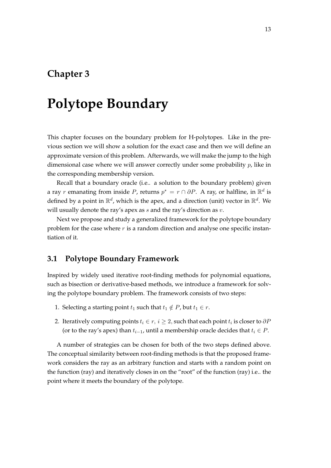# <span id="page-20-0"></span>**Polytope Boundary**

This chapter focuses on the boundary problem for H-polytopes. Like in the previous section we will show a solution for the exact case and then we will define an approximate version of this problem. Afterwards, we will make the jump to the high dimensional case where we will answer correctly under some probability *p*, like in the corresponding membership version.

Recall that a boundary oracle (i.e.. a solution to the boundary problem) given a ray  $r$  emanating from inside  $P$ , returns  $p^* = r \cap \partial P$ . A ray, or halfline, in  $\mathbb{R}^d$  is defined by a point in  $\mathbb{R}^d$ , which is the apex, and a direction (unit) vector in  $\mathbb{R}^d$ . We will usually denote the ray's apex as *s* and the ray's direction as *v*.

Next we propose and study a generalized framework for the polytope boundary problem for the case where *r* is a random direction and analyse one specific instantiation of it.

#### <span id="page-20-1"></span>**3.1 Polytope Boundary Framework**

Inspired by widely used iterative root-finding methods for polynomial equations, such as bisection or derivative-based methods, we introduce a framework for solving the polytope boundary problem. The framework consists of two steps:

- 1. Selecting a starting point  $t_1$  such that  $t_1 \notin P$ , but  $t_1 \in r$ .
- 2. Iteratively computing points  $t_i \in r, i \geq 2$ , such that each point  $t_i$  is closer to  $\partial P$ (or to the ray's apex) than *ti−*1, until a membership oracle decides that *t<sup>i</sup> ∈ P*.

A number of strategies can be chosen for both of the two steps defined above. The conceptual similarity between root-finding methods is that the proposed framework considers the ray as an arbitrary function and starts with a random point on the function (ray) and iteratively closes in on the "root" of the function (ray) i.e.. the point where it meets the boundary of the polytope.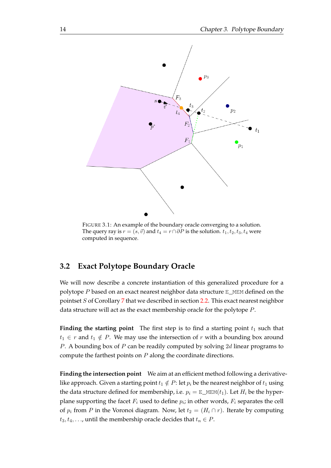<span id="page-21-1"></span>

FIGURE 3.1: An example of the boundary oracle converging to a solution. The query ray is  $r = (s, \vec{v})$  and  $t_4 = r \cap \partial P$  is the solution.  $t_1, t_2, t_3, t_4$  were computed in sequence.

### **3.2 Exact Polytope Boundary Oracle**

<span id="page-21-0"></span>We will now describe a concrete instantiation of this generalized procedure for a polytope *P* based on an exact nearest neighbor data structure E\_MEM defined on the pointset *S* of Corollary 7 that we described in section 2.2. This exact nearest neighbor data structure will act as the exact membership oracle for the polytope *P*.

**Finding the starting [po](#page-13-1)int** The first step is to fi[nd a](#page-15-0) starting point  $t_1$  such that  $t_1 \in r$  and  $t_1 \notin P$ . We may use the intersection of *r* with a bounding box around *P*. A bounding box of *P* can be readily computed by solving 2*d* linear programs to compute the farthest points on *P* along the coordinate directions.

**Finding the intersection point** We aim at an efficient method following a derivativelike approach. Given a starting point  $t_1 \notin P$ : let  $p_i$  be the nearest neighbor of  $t_1$  using the data structure defined for membership, i.e.  $p_i = \mathbb{E} \_\text{MEM}(t_1)$ . Let  $H_i$  be the hyperplane supporting the facet  $F_i$  used to define  $p_i$ ; in other words,  $F_i$  separates the cell of  $p_i$  from *P* in the Voronoi diagram. Now, let  $t_2 = (H_i \cap r)$ . Iterate by computing  $t_3, t_4, \ldots$ , until the membership oracle decides that  $t_n \in P$ .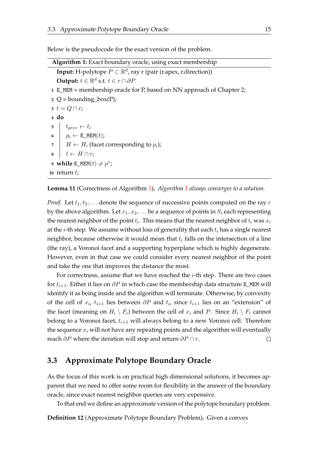Below is the pseudocode for the exact version of the problem.

<span id="page-22-1"></span>

| <b>Algorithm 1:</b> Exact boundary oracle, using exact membership                      |  |  |  |  |  |
|----------------------------------------------------------------------------------------|--|--|--|--|--|
| <b>Input:</b> H-polytope $P \subset \mathbb{R}^d$ , ray r (pair (r.apex, r.direction)) |  |  |  |  |  |
| <b>Output:</b> $t \in \mathbb{R}^d$ s.t. $t \in r \cap \partial P$                     |  |  |  |  |  |
| 1 E_MEM = membership oracle for P, based on NN approach of Chapter 2;                  |  |  |  |  |  |
| 2 $Q =$ bounding_box(P);                                                               |  |  |  |  |  |
| 3 $t = Q \cap r$ ;                                                                     |  |  |  |  |  |
| $4\,$ do                                                                               |  |  |  |  |  |
| 5 $t_{prev} \leftarrow t;$                                                             |  |  |  |  |  |
| 6 $p_i \leftarrow \text{E_MEM}(t);$                                                    |  |  |  |  |  |
| 7 $H \leftarrow H_i$ (facet corresponding to $p_i$ );                                  |  |  |  |  |  |
| $t \leftarrow H \cap r$ ;<br>8                                                         |  |  |  |  |  |
| 9 while E_MEM $(t) \neq p^*$ ;                                                         |  |  |  |  |  |
| 10 return $t$ ;                                                                        |  |  |  |  |  |

**Lemma 11** (Correctness of Algorithm 1)**.** *Algorithm 1 always converges to a solution.*

*Proof.* Let  $t_1, t_2, \ldots$  denote the sequence of successive points computed on the ray r by the above algorithm. Let *x*1*, x*2*, . . .* [b](#page-22-1)e a sequence [o](#page-22-1)f points in *S*, each representing the nearest neighbor of the point *t<sup>i</sup>* . This means that the nearest neighbor of *t<sup>i</sup>* was *x<sup>i</sup>* at the *i*-th step. We assume without loss of generality that each *t<sup>i</sup>* has a single nearest neighbor, because otherwise it would mean that *t<sup>i</sup>* falls on the intersection of a line (the ray), a Voronoi facet and a supporting hyperplane which is highly degenerate. However, even in that case we could consider every nearest neighbor of the point and take the one that improves the distance the most.

For correctness, assume that we have reached the *i*-th step. There are two cases for *ti*+1. Either it lies on *∂P* in which case the membership data structure E\_MEM will identify it as being inside and the algorithm will terminate. Otherwise, by convexity of the cell of  $x_i$ ,  $t_{i+1}$  lies between  $\partial P$  and  $t_i$ , since  $t_{i+1}$  lies on an "extension" of the facet (meaning on  $H_i \setminus F_i$ ) between the cell of  $x_i$  and  $P$ . Since  $H_i \setminus F_i$  cannot belong to a Voronoi facet, *ti*+1 will always belong to a new Voronoi cell. Therefore the sequence *x<sup>i</sup>* will not have any repeating points and the algorithm will eventually reach *∂P* where the iteration will stop and return *∂P ∩ r*.  $\Box$ 

#### **3.3 Approximate Polytope Boundary Oracle**

<span id="page-22-0"></span>As the focus of this work is on practical high dimensional solutions, it becomes apparent that we need to offer some room for flexibility in the answer of the boundary oracle, since exact nearest neighbor queries are very expensive.

To that end we define an approximate version of the polytope boundary problem.

**Definition 12** (Approximate Polytope Boundary Problem)**.** Given a convex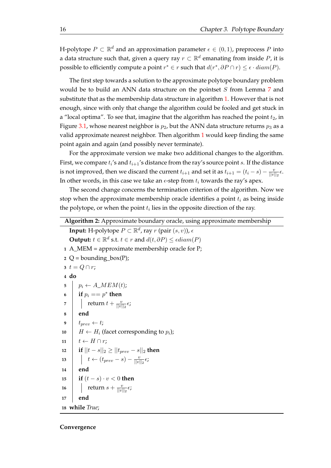H-polytope  $P \subset \mathbb{R}^d$  and an approximation parameter  $\epsilon \in (0,1)$ , preprocess  $P$  into a data structure such that, given a query ray *r ⊂* R *d* emanating from inside *P*, it is possible to efficiently compute a point  $r^* \in r$  such that  $d(r^*, \partial P \cap r) \leq \epsilon \cdot diam(P)$ .

The first step towards a solution to the approximate polytope boundary problem would be to build an ANN data structure on the pointset *S* from Lemma 7 and substitute that as the membership data structure in algorithm 1. However that is not enough, since with only that change the algorithm could be fooled and get stuck in a "local op[t](#page-13-1)ima". To see that, imagine that the algorithm has reached the point  $t_2$ , in Figure 3.1, whose nearest neighbor is  $p_2$ , but the ANN data st[ru](#page-22-1)cture returns  $p_3$  as a valid approximate nearest neighbor. Then algorithm 1 would keep finding the same point again and again (and possibly never terminate).

For [the](#page-21-1) approximate version we make two additional changes to the algorithm. First, we compare *t<sup>i</sup>* 's and *ti*+1's distance from the ray['s](#page-22-1) source point *s*. If the distance is not improved, then we discard the current  $t_{i+1}$  and set it as  $t_{i+1} = (t_i - s) - \frac{v_i}{|v_i|}$  $\frac{v}{||v||_2} \epsilon.$ In other words, in this case we take an  $\epsilon$ -step from  $t_i$  towards the ray's apex.

The second change concerns the termination criterion of the algorithm. Now we stop when the approximate membership oracle identifies a point *t<sup>i</sup>* as being inside the polytope*,* or when the point  $t_i$  lies in the opposite direction of the ray.

<span id="page-23-0"></span>**Algorithm 2:** Approximate boundary oracle, using approximate membership **Input:** H-polytope  $P \subset \mathbb{R}^d$ , ray  $r$  (pair  $(s, v)$ ),  $\epsilon$  $\textbf{Output: } t \in \mathbb{R}^d \text{ s.t. } t \in r \text{ and } d(t, \partial P) \leq \epsilon diam(P)$ **1** A\_MEM = approximate membership oracle for P; 2  $Q =$  bounding\_box(P); **3**  $t = Q \cap r$ ; **4 do**  $\mathbf{5}$   $\vert p_i \leftarrow A\_MEM(t);$ **6 if**  $p_i == p^*$  **then 7**  $\vert$  **return**  $t + \frac{v}{\vert v \vert}$  $\frac{v}{||v||_2}\epsilon$ ; **8 end 9**  $t_{prev} \leftarrow t$ ;  $10 \mid H \leftarrow H_i$  (facet corresponding to  $p_i$ );  $11 \mid t \leftarrow H \cap r;$ **12 if**  $||t - s||_2 \ge ||t_{prev} - s||_2$  **then 13**  $\vert t \leftarrow (t_{prev} - s) - \frac{v}{\vert \vert w \vert})$  $\frac{v}{||v||_2} \epsilon$ ; **14 end <sup>15</sup> if** (*t − s*) *· v <* 0 **then 16 c** return  $s + \frac{v}{|v|}$  $\frac{v}{||v||_2}$  $\epsilon$ ; **17 end 18 while** *True*;

#### **Convergence**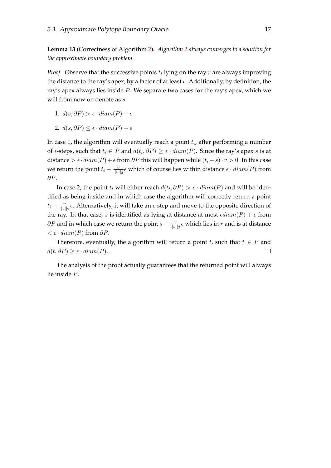**Lemma 13** (Correctness of Algorithm 2)**.** *Algorithm 2 always converges to a solution for the approximate boundary problem.*

*Proof.* Observe that the successive po[in](#page-23-0)ts *t<sup>i</sup>* lying o[n](#page-23-0) the ray *r* are always improving the distance to the ray's apex, by a factor of at least *ϵ*. Additionally, by definition, the ray's apex always lies inside *P*. We separate two cases for the ray's apex, which we will from now on denote as *s*.

1.  $d(s, ∂P) > ε \cdot diam(P) + ε$ 

2. 
$$
d(s, \partial P) \leq \epsilon \cdot diam(P) + \epsilon
$$

In case 1, the algorithm will eventually reach a point *t<sup>i</sup>* , after performing a number of  $\epsilon$ -steps, such that  $t_i$  ∈ *P* and  $d(t_i, \partial P)$  ≥  $\epsilon \cdot diam(P)$ . Since the ray's apex *s* is at distance >  $\epsilon \cdot diam(P) + \epsilon$  from  $\partial P$  this will happen while  $(t_i - s) \cdot v > 0$ . In this case we return the point  $t_i + \frac{v_i}{\|v_i\|}$  $\frac{v}{||v||_2}$  $\epsilon$  which of course lies within distance  $\epsilon \cdot diam(P)$  from *∂P*.

In case 2, the point  $t_i$  will either reach  $d(t_i, \partial P) > \epsilon \cdot diam(P)$  and will be identified as being inside and in which case the algorithm will correctly return a point  $t_i + \frac{v}{\ln v}$  $\frac{v}{||v||_2}$  $\epsilon$ . Alternatively, it will take an  $\epsilon$ -step and move to the opposite direction of the ray. In that case, *s* is identified as lying at distance at most  $\epsilon diam(P) + \epsilon$  from  $\partial P$  and in which case we return the point  $s + \frac{v}{|v|}$  $\frac{v}{||v||_2} \epsilon$  which lies in  $r$  and is at distance *< ϵ · diam*(*P*) from *∂P*.

Therefore, eventually, the algorithm will return a point *t*, such that  $t \in P$  and  $d(t, \partial P) \geq \epsilon \cdot diam(P).$  $\Box$ 

The analysis of the proof actually guarantees that the returned point will always lie inside *P*.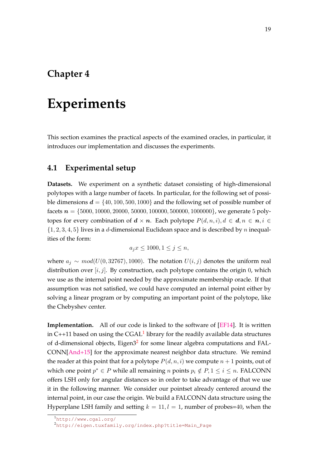## <span id="page-26-0"></span>**Experiments**

This section examines the practical aspects of the examined oracles, in particular, it introduces our implementation and discusses the experiments.

### **4.1 Experimental setup**

<span id="page-26-1"></span>**Datasets.** We experiment on a synthetic dataset consisting of high-dimensional polytopes with a large number of facets. In particular, for the following set of possible dimensions  $d = \{40, 100, 500, 1000\}$  and the following set of possible number of facets *n* = *{*5000*,* 10000*,* 20000*,* 50000*,* 100000*,* 500000*,* 1000000*}*, we generate 5 polytopes for every combination of  $d \times n$ . Each polytope  $P(d, n, i)$ ,  $d \in d, n \in n$ ,  $i \in$ *{*1*,* 2*,* 3*,* 4*,* 5*}* lives in a *d*-dimensional Euclidean space and is described by *n* inequalities of the form:

$$
a_j x \le 1000, 1 \le j \le n,
$$

where  $a_j$  ∼  $mod(U(0, 32767), 1000)$ . The notation  $U(i, j)$  denotes the uniform real distribution over  $[i, j]$ . By construction, each polytope contains the origin 0, which we use as the internal point needed by the approximate membership oracle. If that assumption was not satisfied, we could have computed an internal point either by solving a linear program or by computing an important point of the polytope, like the Chebyshev center.

**Implementation.** All of our code is linked to the software of [EF14]. It is written in C++11 based on using the  $CGAL<sup>1</sup>$  library for the readily available data structures of d-dimensional objects, Eigen3<sup>2</sup> for some linear algebra computations and FAL-CONN[And+15] for the approximate nearest neighbor data str[uctur](#page-33-2)e. We remind the reader at this point that for a po[ly](#page-26-2)tope  $P(d, n, i)$  we compute  $n + 1$  points, out of which one point  $p^* \in P$  while all [r](#page-26-3)emaining *n* points  $p_i \notin P, 1 \leq i \leq n$ . FALCONN offers L[SH only](#page-32-9) for angular distances so in order to take advantage of that we use it in the following manner. We consider our pointset already centered around the internal point, in our case the origin. We build a FALCONN data structure using the Hyperplane LSH family and setting  $k = 11, l = 1$ , number of probes=40, when the

<sup>1</sup>http://www.cgal.org/

<span id="page-26-3"></span><span id="page-26-2"></span><sup>2</sup>http://eigen.tuxfamily.org/index.php?title=Main\_Page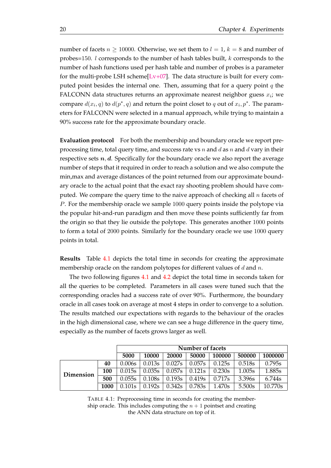number of facets  $n \ge 10000$ . Otherwise, we set them to  $l = 1$ ,  $k = 8$  and number of probes=150. *l* corresponds to the number of hash tables built, *k* corresponds to the number of hash functions used per hash table and number of probes is a parameter for the multi-probe LSH scheme $[Lv+07]$ . The data structure is built for every computed point besides the internal one. Then, assuming that for a query point *q* the FALCONN data structures returns an approximate nearest neighbor guess *x<sup>i</sup>* ; we compare  $d(x_i, q)$  to  $d(p^*, q)$  and r[eturn th](#page-33-7)e point closet to  $q$  out of  $x_i, p^*$ . The parameters for FALCONN were selected in a manual approach, while trying to maintain a 90% success rate for the approximate boundary oracle.

**Evaluation protocol** For both the membership and boundary oracle we report preprocessing time, total query time, and success rate vs *n* and *d* as *n* and *d* vary in their respective sets  $n, d$ . Specifically for the boundary oracle we also report the average number of steps that it required in order to reach a solution and we also compute the min,max and average distances of the point returned from our approximate boundary oracle to the actual point that the exact ray shooting problem should have computed. We compare the query time to the naive approach of checking all *n* facets of *P*. For the membership oracle we sample 1000 query points inside the polytope via the popular hit-and-run paradigm and then move these points sufficiently far from the origin so that they lie outside the polytope. This generates another 1000 points to form a total of 2000 points. Similarly for the boundary oracle we use 1000 query points in total.

**Results** Table 4.1 depicts the total time in seconds for creating the approximate membership oracle on the random polytopes for different values of *d* and *n*.

The two following figures 4.1 and 4.2 depict the total time in seconds taken for all the queries [to b](#page-27-0)e completed. Parameters in all cases were tuned such that the corresponding oracles had a success rate of over 90%. Furthermore, the boundary oracle in all cases took on aver[age](#page-28-0) at [most](#page-28-1) 4 steps in order to converge to a solution. The results matched our expectations with regards to the behaviour of the oracles in the high dimensional case, where we can see a huge difference in the query time, especially as the number of facets grows larger as well.

<span id="page-27-0"></span>

|           |      | Number of facets |        |        |        |        |        |         |
|-----------|------|------------------|--------|--------|--------|--------|--------|---------|
|           |      | 5000             | 10000  | 20000  | 50000  | 100000 | 500000 | 1000000 |
|           | 40   | 0.006s           | 0.013s | 0.027s | 0.057s | 0.125s | 0.518s | 0.795s  |
| Dimension | 100  | 0.015s           | 0.035s | 0.057s | 0.121s | 0.230s | 1.005s | 1.885s  |
|           | 500  | 0.055s           | 0.108s | 0.193s | 0.419s | 0.717s | 3.396s | 6.744s  |
|           | 1000 | 0.101s           | 0.192s | 0.342s | 0.783s | 1.470s | 5.500s | 10.770s |

TABLE 4.1: Preprocessing time in seconds for creating the membership oracle. This includes computing the  $n + 1$  pointset and creating the ANN data structure on top of it.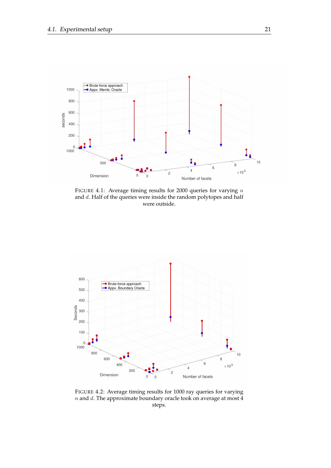<span id="page-28-0"></span>

FIGURE 4.1: Average timing results for 2000 queries for varying *n* and *d*. Half of the queries were inside the random polytopes and half were outside.

<span id="page-28-1"></span>

FIGURE 4.2: Average timing results for 1000 ray queries for varying *n* and *d*. The approximate boundary oracle took on average at most 4 steps.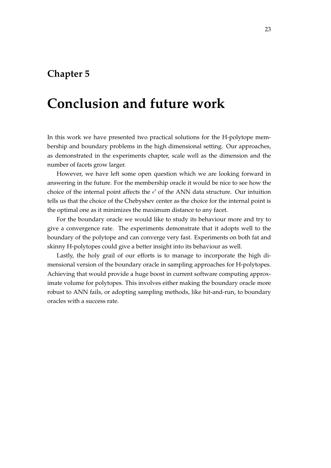## **Conclusion and future work**

In this work we have presented two practical solutions for the H-polytope membership and boundary problems in the high dimensional setting. Our approaches, as demonstrated in the experiments chapter, scale well as the dimension and the number of facets grow larger.

However, we have left some open question which we are looking forward in answering in the future. For the membership oracle it would be nice to see how the choice of the internal point affects the *ϵ ′* of the ANN data structure. Our intuition tells us that the choice of the Chebyshev center as the choice for the internal point is the optimal one as it minimizes the maximum distance to any facet.

For the boundary oracle we would like to study its behaviour more and try to give a convergence rate. The experiments demonstrate that it adopts well to the boundary of the polytope and can converge very fast. Experiments on both fat and skinny H-polytopes could give a better insight into its behaviour as well.

Lastly, the holy grail of our efforts is to manage to incorporate the high dimensional version of the boundary oracle in sampling approaches for H-polytopes. Achieving that would provide a huge boost in current software computing approximate volume for polytopes. This involves either making the boundary oracle more robust to ANN fails, or adopting sampling methods, like hit-and-run, to boundary oracles with a success rate.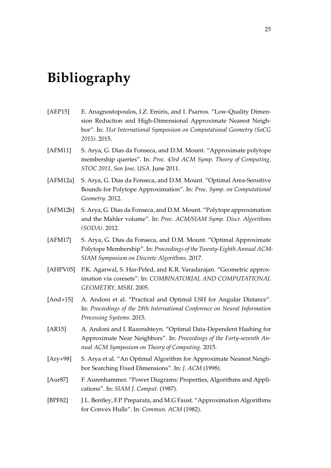# **Bibliography**

- <span id="page-32-6"></span>[AEP15] E. Anagnostopoulos, I.Z. Emiris, and I. Psarros. "Low-Quality Dimension Reduction and High-Dimensional Approximate Nearest Neighbor". In: *31st International Symposium on Computational Geometry (SoCG 2015)*. 2015.
- <span id="page-32-1"></span>[AFM11] S. Arya, G. Dias da Fonseca, and D.M. Mount. "Approximate polytope membership queries". In: *Proc. 43rd ACM Symp. Theory of Computing, STOC 2011, San Jose, USA*. June 2011.
- <span id="page-32-3"></span>[AFM12a] S. Arya, G. Dias da Fonseca, and D.M. Mount. "Optimal Area-Sensitive Bounds for Polytope Approximation". In: *Proc. Symp. on Computational Geometry*. 2012.
- <span id="page-32-2"></span>[AFM12b] S. Arya, G. Dias da Fonseca, and D.M. Mount. "Polytope approximation and the Mahler volume". In: *Proc. ACM/SIAM Symp. Discr. Algorithms (SODA)*. 2012.
- <span id="page-32-4"></span>[AFM17] S. Arya, G. Dias da Fonseca, and D.M. Mount. "Optimal Approximate Polytope Membership". In: *Proceedings of the Twenty-Eighth Annual ACM-SIAM Symposium on Discrete Algorithms*. 2017.
- <span id="page-32-5"></span>[AHPV05] P.K. Agarwal, S. Har-Peled, and K.R. Varadarajan. "Geometric approximation via coresets". In: *COMBINATORIAL AND COMPUTATIONAL GEOMETRY, MSRI*. 2005.
- <span id="page-32-9"></span>[And+15] A. Andoni et al. "Practical and Optimal LSH for Angular Distance". In: *Proceedings of the 28th International Conference on Neural Information Processing Systems*. 2015.
- [AR15] A. Andoni and I. Razenshteyn. "Optimal Data-Dependent Hashing for Approximate Near Neighbors". In: *Proceedings of the Forty-seventh Annual ACM Symposium on Theory of Computing*. 2015.
- <span id="page-32-7"></span>[Ary+98] S. Arya et al. "An Optimal Algorithm for Approximate Nearest Neighbor Searching Fixed Dimensions". In: *J. ACM* (1998).
- <span id="page-32-8"></span>[Aur87] F. Aurenhammer. "Power Diagrams: Properties, Algorithms and Applications". In: *SIAM J. Comput.* (1987).
- <span id="page-32-0"></span>[BPF82] J.L. Bentley, F.P. Preparata, and M.G Faust. "Approximation Algorithms for Convex Hulls". In: *Commun. ACM* (1982).